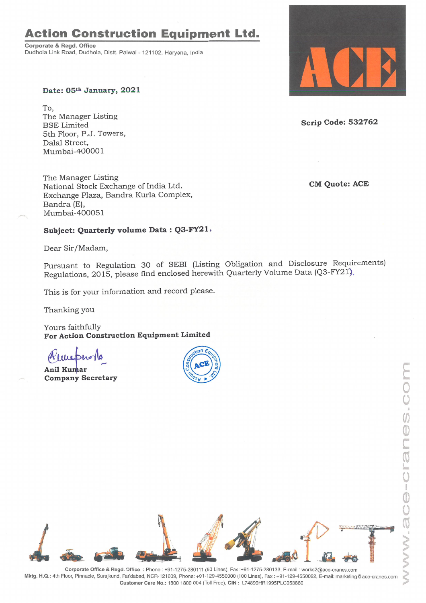## **Action Construction Equipment Ltd.**

Corporate & Regd. Office Dudhola Link Road, Dudhola, Distt. Palwal- 121102, Haryana, India



To, The Manager Listing BSE Limited 5th Floor, P.J. Towers, Dalal Street, Mumbai-400001

The Manager Listing National Stock Exchange of India Ltd. Exchange Plaza, Bandra Kurla Complex, Bandra (E), Mumbai-400051

## **Subject: Quarterly volume Data: Q3-FY21.**

Dear Sir/Madam,

Pursuant to Regulation 30 of SEBI (Listing Obligation and Disclosure Requirements) Regulations, 2015, please find enclosed herewith Quarterly Volume Data (Q3-FY21),

This is for your information and record please.

Thanking you

Yours faithfully **For Action Construction Equipment Limited**

Anil Kumar **Company Secretary**





**Scrip Code: 532762**

**CM Quote: ACE**



Corporate Office & Regd. Office: Phone: +91-1275-280111 (50 Lines), Fax:+91-1275-280133, E-mail: works2@ace-cranes.com Mktg. H.Q.: 4th Floor, Pinnacle, Surajkund, Faridabad, NCR-121009, Phone: +91-129-4550000 (100 Lines), Fax: +91-129-4550022, E-mail: marketing@ace-cranes.com Customer Care No.: 1800 1800 004 (Toll Free), CIN: L74899HR1995PLC053860